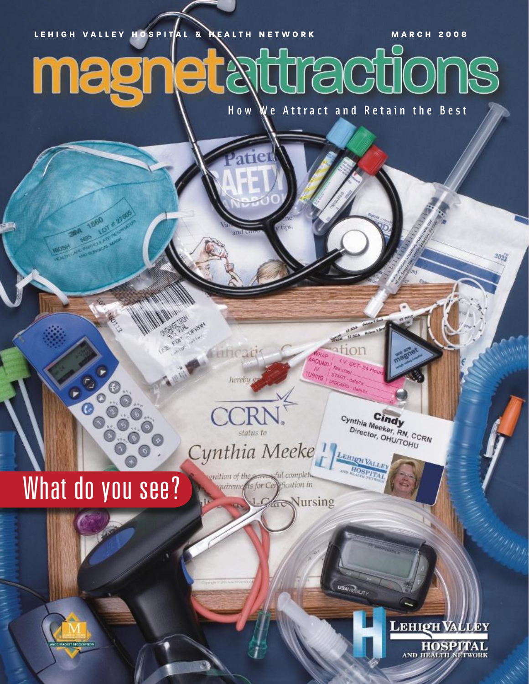#### **LEHIGH VALLEY HOSPITAL & HEALTH NETWORK MARCH 2008** turactions magi et  $\mathbb{Z}$ How We Attract and Retain the Best

# What do you see?

 $\odot$ 

Cynthia Meeke! enition of the ful complet. *valuements* for Cerification in

Nursing

TTA OF REAL

**FINDICAL** 

**Vice** 

hereby g

status to

Cynthia Meeker, RN, CCRN Director, OHU/TOHU

 $1.50$ tion

I.V. SET-24

LEHIER VALLE HOSPI

**USAV COLITY** 

**RN INSIN** 

**FRAN INSIDE THE START - CONSIDERATIVE** 

**OTART date/ly** 

**AROUND** 

 $N$ 

 $T^{UV}_{U \oplus IV \oplus}$ 

**LEHIQH VALLEY** HOSPITAL

 $3033$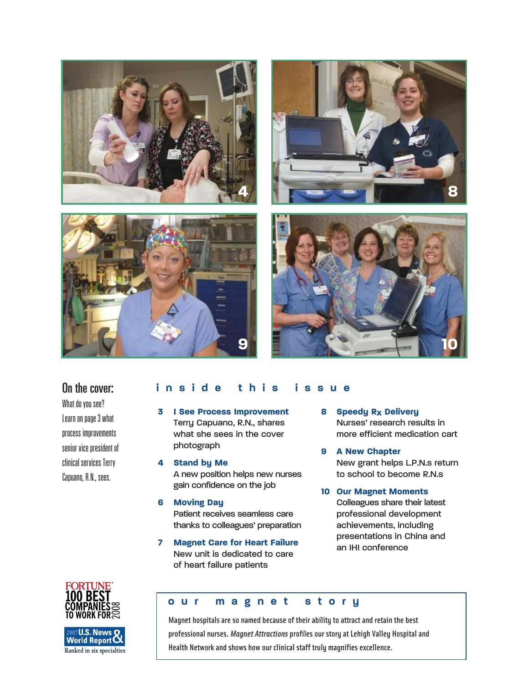

#### On the cover:

What do you see? Learn on page 3 what process improvements senior vice president of clinical services Terry Capuano, R.N., sees.

#### **inside this issue**

- **3 I See Process Improvement** Terry Capuano, R.N., shares what she sees in the cover photograph
- **4 Stand by Me** A new position helps new nurses gain confidence on the job
- **6 Moving Day** Patient receives seamless care thanks to colleagues' preparation
- **7 Magnet Care for Heart Failure** New unit is dedicated to care of heart failure patients
- **8 Speedy Rx Delivery** Nurses' research results in more efficient medication cart
- **9 A New Chapter** New grant helps L.P.N.s return to school to become R.N.s
- **10 Our Magnet Moments** Colleagues share their latest professional development achievements, including presentations in China and an IHI conference





#### **our magnet story**

Magnet hospitals are so named because of their ability to attract and retain the best professional nurses. *Magnet Attractions* profiles our story at Lehigh Valley Hospital and Health Network and shows how our clinical staff truly magnifies excellence.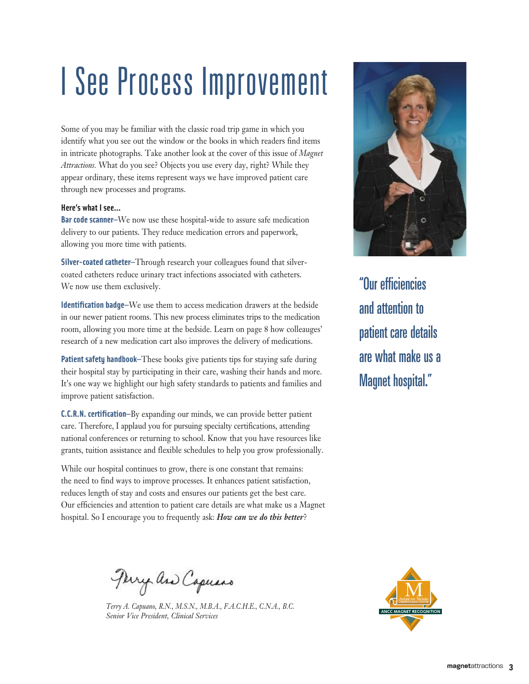## I See Process Improvement

Some of you may be familiar with the classic road trip game in which you identify what you see out the window or the books in which readers find items in intricate photographs. Take another look at the cover of this issue of *Magnet Attractions.* What do you see? Objects you use every day, right? While they appear ordinary, these items represent ways we have improved patient care through new processes and programs.

#### **Here's what I see…**

**Bar code scanner—**We now use these hospital-wide to assure safe medication delivery to our patients. They reduce medication errors and paperwork, allowing you more time with patients.

**Silver-coated catheter—**Through research your colleagues found that silvercoated catheters reduce urinary tract infections associated with catheters. We now use them exclusively.

**Identification badge—**We use them to access medication drawers at the bedside in our newer patient rooms. This new process eliminates trips to the medication room, allowing you more time at the bedside. Learn on page 8 how colleauges' research of a new medication cart also improves the delivery of medications.

**Patient safety handbook—**These books give patients tips for staying safe during their hospital stay by participating in their care, washing their hands and more. It's one way we highlight our high safety standards to patients and families and improve patient satisfaction.

**C.C.R.N. certification—**By expanding our minds, we can provide better patient care. Therefore, I applaud you for pursuing specialty certifications, attending national conferences or returning to school. Know that you have resources like grants, tuition assistance and flexible schedules to help you grow professionally.

While our hospital continues to grow, there is one constant that remains: the need to find ways to improve processes. It enhances patient satisfaction, reduces length of stay and costs and ensures our patients get the best care. Our efficiencies and attention to patient care details are what make us a Magnet hospital. So I encourage you to frequently ask: *How can we do this better*?

Perry and Capuars

*Terry A. Capuano, R.N., M.S.N., M.B.A., F.A.C.H.E., C.N.A., B.C. Senior Vice President, Clinical Services*



"Our efficiencies and attention to patient care details are what make us a Magnet hospital."

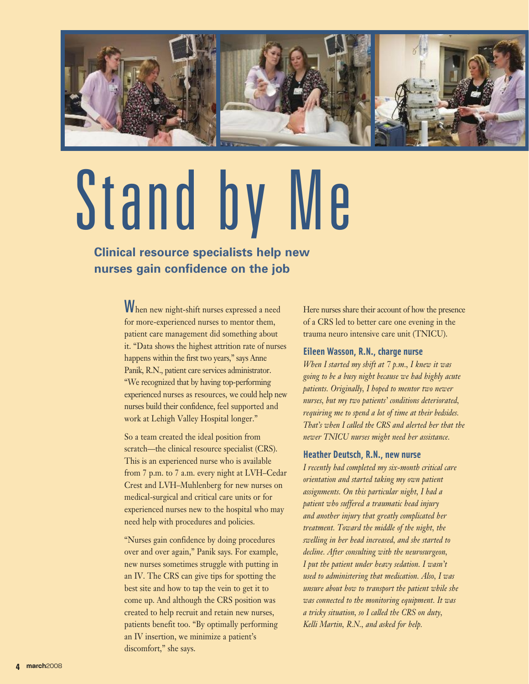

# Stand by

#### **Clinical resource specialists help new nurses gain confidence on the job**

**W**hen new night-shift nurses expressed a need for more-experienced nurses to mentor them, patient care management did something about it. "Data shows the highest attrition rate of nurses happens within the first two years," says Anne Panik, R.N., patient care services administrator. "We recognized that by having top-performing experienced nurses as resources, we could help new nurses build their confidence, feel supported and work at Lehigh Valley Hospital longer."

So a team created the ideal position from scratch—the clinical resource specialist (CRS). This is an experienced nurse who is available from 7 p.m. to 7 a.m. every night at LVH–Cedar Crest and LVH–Muhlenberg for new nurses on medical-surgical and critical care units or for experienced nurses new to the hospital who may need help with procedures and policies.

"Nurses gain confidence by doing procedures over and over again," Panik says. For example, new nurses sometimes struggle with putting in an IV. The CRS can give tips for spotting the best site and how to tap the vein to get it to come up. And although the CRS position was created to help recruit and retain new nurses, patients benefit too. "By optimally performing an IV insertion, we minimize a patient's discomfort," she says.

Here nurses share their account of how the presence of a CRS led to better care one evening in the trauma neuro intensive care unit (TNICU).

#### **Eileen Wasson, R.N., charge nurse**

*When I started my shift at 7 p.m., I knew it was going to be a busy night because we had highly acute patients. Originally, I hoped to mentor two newer nurses, but my two patients' conditions deteriorated, requiring me to spend a lot of time at their bedsides. That's when I called the CRS and alerted her that the newer TNICU nurses might need her assistance.*

#### **Heather Deutsch, R.N., new nurse**

*I recently had completed my six-month critical care orientation and started taking my own patient assignments. On this particular night, I had a patient who suffered a traumatic head injury and another injury that greatly complicated her treatment. Toward the middle of the night, the swelling in her head increased, and she started to decline. After consulting with the neurosurgeon, I put the patient under heavy sedation. I wasn't used to administering that medication. Also, I was unsure about how to transport the patient while she was connected to the monitoring equipment. It was a tricky situation, so I called the CRS on duty, Kelli Martin, R.N., and asked for help.*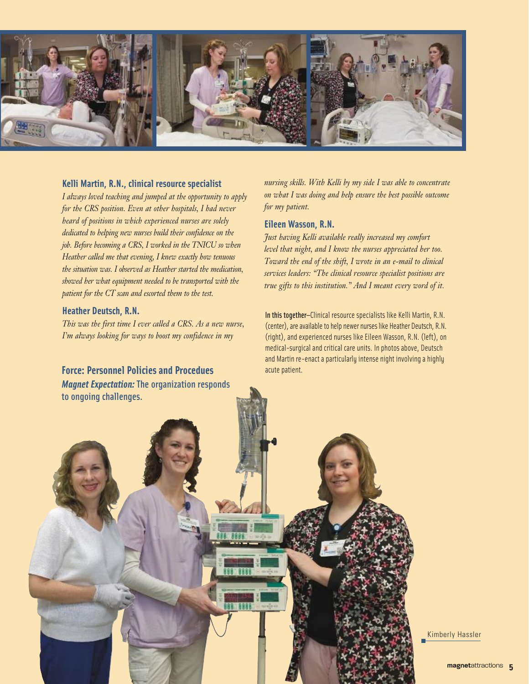

#### **Kelli Martin, R.N., clinical resource specialist**

*I always loved teaching and jumped at the opportunity to apply for the CRS position. Even at other hospitals, I had never heard of positions in which experienced nurses are solely dedicated to helping new nurses build their confidence on the job. Before becoming a CRS, I worked in the TNICU so when Heather called me that evening, I knew exactly how tenuous the situation was. I observed as Heather started the medication, showed her what equipment needed to be transported with the patient for the CT scan and escorted them to the test.*

#### **Heather Deutsch, R.N.**

*This was the first time I ever called a CRS. As a new nurse, I'm always looking for ways to boost my confidence in my* 

#### **Force: Personnel Policies and Procedues**

*Magnet Expectation:* The organization responds to ongoing challenges.

*nursing skills. With Kelli by my side I was able to concentrate on what I was doing and help ensure the best possible outcome for my patient.*

#### **Eileen Wasson, R.N.**

*Just having Kelli available really increased my comfort level that night, and I know the nurses appreciated her too. Toward the end of the shift, I wrote in an e-mail to clinical services leaders: "The clinical resource specialist positions are true gifts to this institution." And I meant every word of it.*

In this together—Clinical resource specialists like Kelli Martin, R.N. (center), are available to help newer nurses like Heather Deutsch, R.N. (right), and experienced nurses like Eileen Wasson, R.N. (left), on medical-surgical and critical care units. In photos above, Deutsch and Martin re-enact a particularly intense night involving a highly acute patient.

Kimberly Hassler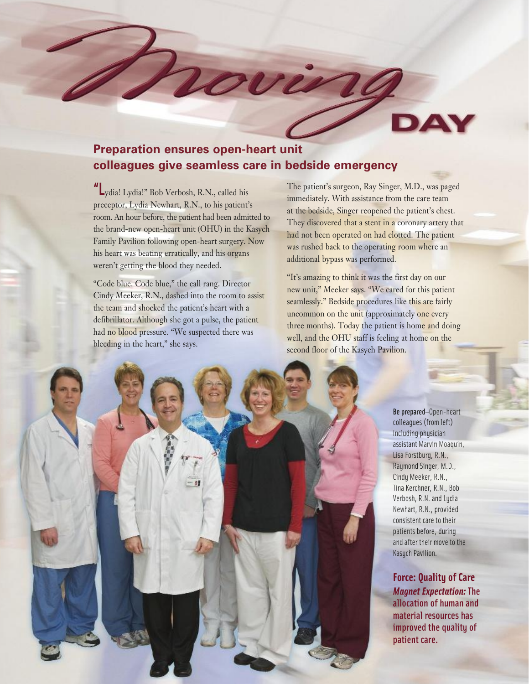#### **Preparation ensures open-heart unit colleagues give seamless care in bedside emergency**

**"L**ydia! Lydia!" Bob Verbosh, R.N., called his preceptor, Lydia Newhart, R.N., to his patient's room. An hour before, the patient had been admitted to the brand-new open-heart unit (OHU) in the Kasych Family Pavilion following open-heart surgery. Now his heart was beating erratically, and his organs weren't getting the blood they needed.

"Code blue. Code blue," the call rang. Director Cindy Meeker, R.N., dashed into the room to assist the team and shocked the patient's heart with a defibrillator. Although she got a pulse, the patient had no blood pressure. "We suspected there was bleeding in the heart," she says.

The patient's surgeon, Ray Singer, M.D., was paged immediately. With assistance from the care team at the bedside, Singer reopened the patient's chest. They discovered that a stent in a coronary artery that had not been operated on had clotted. The patient was rushed back to the operating room where an additional bypass was performed.

"It's amazing to think it was the first day on our new unit," Meeker says. "We cared for this patient seamlessly." Bedside procedures like this are fairly uncommon on the unit (approximately one every three months). Today the patient is home and doing well, and the OHU staff is feeling at home on the second floor of the Kasych Pavilion.



Be prepared—Open-heart colleagues (from left) including physician assistant Marvin Moaquin, Lisa Forstburg, R.N., Raymond Singer, M.D., Cindy Meeker, R.N., Tina Kerchner, R.N., Bob Verbosh, R.N. and Lydia Newhart, R.N., provided consistent care to their patients before, during and after their move to the Kasych Pavilion.

**Force: Quality of Care** *Magnet Expectation:* The allocation of human and material resources has improved the quality of patient care.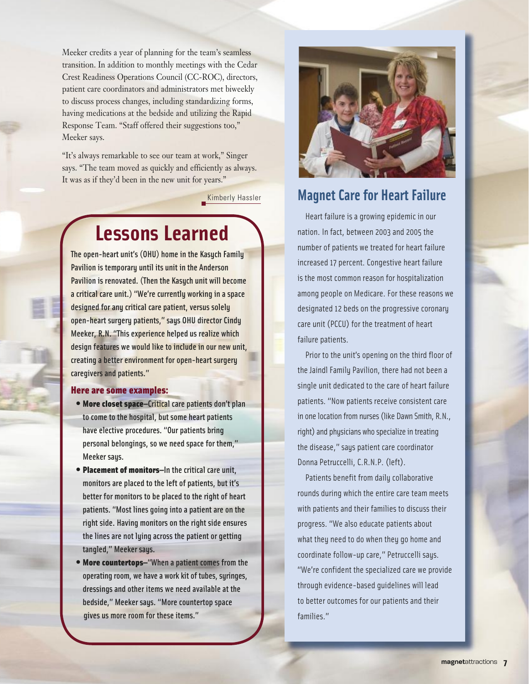Meeker credits a year of planning for the team's seamless transition. In addition to monthly meetings with the Cedar Crest Readiness Operations Council (CC-ROC), directors, patient care coordinators and administrators met biweekly to discuss process changes, including standardizing forms, having medications at the bedside and utilizing the Rapid Response Team. "Staff offered their suggestions too," Meeker says.

"It's always remarkable to see our team at work," Singer says. "The team moved as quickly and efficiently as always. It was as if they'd been in the new unit for years."

Kimberly Hassler

#### **Lessons Learned**

The open-heart unit's (OHU) home in the Kasych Family Pavilion is temporary until its unit in the Anderson Pavilion is renovated. (Then the Kasych unit will become a critical care unit.) "We're currently working in a space designed for any critical care patient, versus solely open-heart surgery patients," says OHU director Cindy Meeker, R.N. "This experience helped us realize which design features we would like to include in our new unit, creating a better environment for open-heart surgery caregivers and patients."

#### Here are some examples:

- More closet space—Critical care patients don't plan to come to the hospital, but some heart patients have elective procedures. "Our patients bring personal belongings, so we need space for them," Meeker says.
- Placement of monitors—In the critical care unit, monitors are placed to the left of patients, but it's better for monitors to be placed to the right of heart patients. "Most lines going into a patient are on the right side. Having monitors on the right side ensures the lines are not lying across the patient or getting tangled," Meeker says.
- More countertops—"When a patient comes from the operating room, we have a work kit of tubes, syringes, dressings and other items we need available at the bedside," Meeker says. "More countertop space gives us more room for these items."



#### **Magnet Care for Heart Failure**

Heart failure is a growing epidemic in our nation. In fact, between 2003 and 2005 the number of patients we treated for heart failure increased 17 percent. Congestive heart failure is the most common reason for hospitalization among people on Medicare. For these reasons we designated 12 beds on the progressive coronary care unit (PCCU) for the treatment of heart failure patients.

Prior to the unit's opening on the third floor of the Jaindl Family Pavilion, there had not been a single unit dedicated to the care of heart failure patients. "Now patients receive consistent care in one location from nurses (like Dawn Smith, R.N., right) and physicians who specialize in treating the disease," says patient care coordinator Donna Petruccelli, C.R.N.P. (left).

Patients benefit from daily collaborative rounds during which the entire care team meets with patients and their families to discuss their progress. "We also educate patients about what they need to do when they go home and coordinate follow-up care," Petruccelli says. "We're confident the specialized care we provide through evidence-based guidelines will lead to better outcomes for our patients and their families."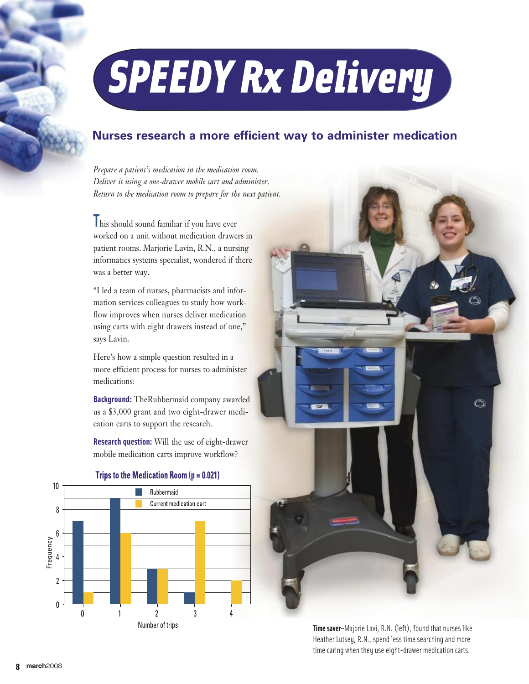## *SPEEDY Rx Delivery*

#### **Nurses research a more efficient way to administer medication**

*Prepare a patient's medication in the medication room. Deliver it using a one-drawer mobile cart and administer. Return to the medication room to prepare for the next patient.*

**T**his should sound familiar if you have ever worked on a unit without medication drawers in patient rooms. Marjorie Lavin, R.N., a nursing informatics systems specialist, wondered if there was a better way.

"I led a team of nurses, pharmacists and information services colleagues to study how workflow improves when nurses deliver medication using carts with eight drawers instead of one," says Lavin.

Here's how a simple question resulted in a more efficient process for nurses to administer medications:

**Background:** TheRubbermaid company awarded us a \$3,000 grant and two eight-drawer medication carts to support the research.

**Research question:** Will the use of eight-drawer mobile medication carts improve workflow?



#### Trips to the Medication Room  $(p = 0.021)$



**Time saver–**Majorie Lavi, R.N. (left), found that nurses like Heather Lutsey, R.N., spend less time searching and more time caring when they use eight-drawer medication carts.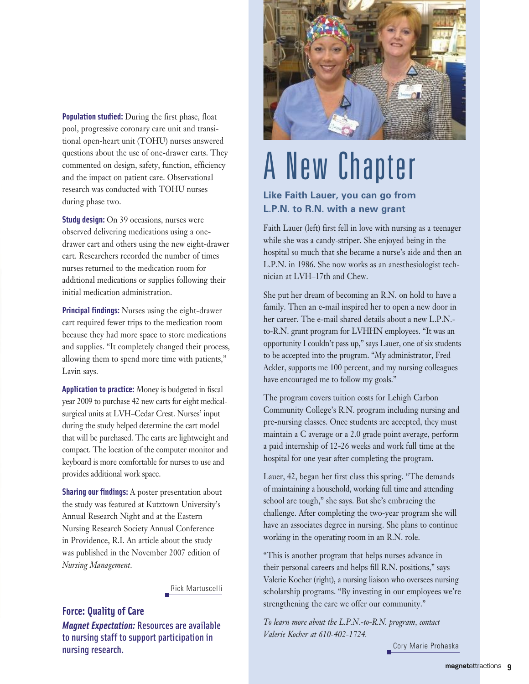**Population studied:** During the first phase, float pool, progressive coronary care unit and transitional open-heart unit (TOHU) nurses answered questions about the use of one-drawer carts. They commented on design, safety, function, efficiency and the impact on patient care. Observational research was conducted with TOHU nurses during phase two.

**Study design:** On 39 occasions, nurses were observed delivering medications using a onedrawer cart and others using the new eight-drawer cart. Researchers recorded the number of times nurses returned to the medication room for additional medications or supplies following their initial medication administration.

**Principal findings:** Nurses using the eight-drawer cart required fewer trips to the medication room because they had more space to store medications and supplies. "It completely changed their process, allowing them to spend more time with patients," Lavin says.

**Application to practice:** Money is budgeted in fiscal year 2009 to purchase 42 new carts for eight medicalsurgical units at LVH–Cedar Crest. Nurses' input during the study helped determine the cart model that will be purchased. The carts are lightweight and compact. The location of the computer monitor and keyboard is more comfortable for nurses to use and provides additional work space.

**Sharing our findings:** A poster presentation about the study was featured at Kutztown University's Annual Research Night and at the Eastern Nursing Research Society Annual Conference in Providence, R.I. An article about the study was published in the November 2007 edition of *Nursing Management*.

Rick Martuscelli

#### **Force: Quality of Care** *Magnet Expectation:* Resources are available to nursing staff to support participation in nursing research.



### A New Chapter

#### **Like Faith Lauer, you can go from L.P.N. to R.N. with a new grant**

Faith Lauer (left) first fell in love with nursing as a teenager while she was a candy-striper. She enjoyed being in the hospital so much that she became a nurse's aide and then an L.P.N. in 1986. She now works as an anesthesiologist technician at LVH–17th and Chew.

She put her dream of becoming an R.N. on hold to have a family. Then an e-mail inspired her to open a new door in her career. The e-mail shared details about a new L.P.N. to-R.N. grant program for LVHHN employees. "It was an opportunity I couldn't pass up," says Lauer, one of six students to be accepted into the program. "My administrator, Fred Ackler, supports me 100 percent, and my nursing colleagues have encouraged me to follow my goals."

The program covers tuition costs for Lehigh Carbon Community College's R.N. program including nursing and pre-nursing classes. Once students are accepted, they must maintain a C average or a 2.0 grade point average, perform a paid internship of 12-26 weeks and work full time at the hospital for one year after completing the program.

Lauer, 42, began her first class this spring. "The demands of maintaining a household, working full time and attending school are tough," she says. But she's embracing the challenge. After completing the two-year program she will have an associates degree in nursing. She plans to continue working in the operating room in an R.N. role.

"This is another program that helps nurses advance in their personal careers and helps fill R.N. positions," says Valerie Kocher (right), a nursing liaison who oversees nursing scholarship programs. "By investing in our employees we're strengthening the care we offer our community."

*To learn more about the L.P.N.-to-R.N. program, contact Valerie Kocher at 610-402-1724.* 

Cory Marie Prohaska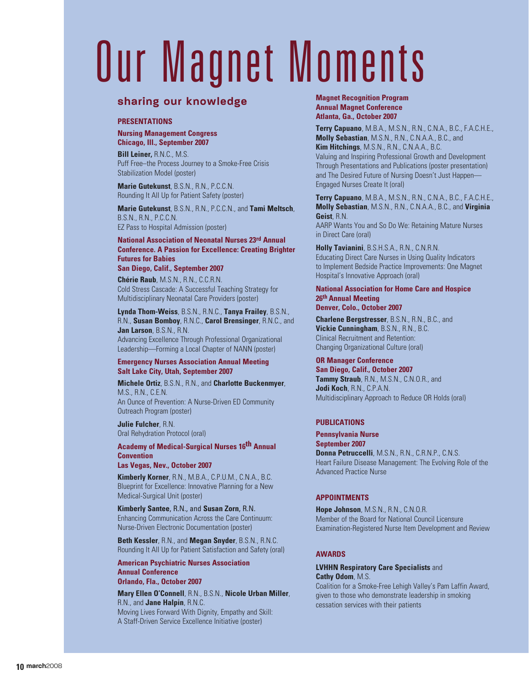## Our Magnet Moments

#### **sharing our knowledge**

#### **PRESENTATIONS**

**Nursing Management Congress Chicago, Ill., September 2007**

**Bill Leiner,** R.N.C., M.S. Puff Free–the Process Journey to a Smoke-Free Crisis Stabilization Model (poster)

**Marie Gutekunst**, B.S.N., R.N., P.C.C.N. Rounding It All Up for Patient Safety (poster)

**Marie Gutekunst**, B.S.N., R.N., P.C.C.N., and **Tami Meltsch**, B.S.N., R.N., P.C.C.N. EZ Pass to Hospital Admission (poster)

**National Association of Neonatal Nurses 23rd Annual Conference. A Passion for Excellence: Creating Brighter Futures for Babies San Diego, Calif., September 2007**

**Chérie Raub**, M.S.N., R.N., C.C.R.N. Cold Stress Cascade: A Successful Teaching Strategy for Multidisciplinary Neonatal Care Providers (poster)

**Lynda Thom-Weiss**, B.S.N., R.N.C., **Tanya Frailey**, B.S.N., R.N., **Susan Bomboy**, R.N.C., **Carol Brensinger**, R.N.C., and **Jan Larson**, B.S.N., R.N. Advancing Excellence Through Professional Organizational

Leadership—Forming a Local Chapter of NANN (poster)

#### **Emergency Nurses Association Annual Meeting Salt Lake City, Utah, September 2007**

**Michele Ortiz**, B.S.N., R.N., and **Charlotte Buckenmyer**, M.S., R.N., C.E.N. An Ounce of Prevention: A Nurse-Driven ED Community Outreach Program (poster)

**Julie Fulcher**, R.N. Oral Rehydration Protocol (oral)

#### **Academy of Medical-Surgical Nurses 16th Annual Convention**

**Las Vegas, Nev., October 2007**

**Kimberly Korner**, R.N., M.B.A., C.P.U.M., C.N.A., B.C. Blueprint for Excellence: Innovative Planning for a New Medical-Surgical Unit (poster)

**Kimberly Santee**, R.N., and **Susan Zorn**, R.N. Enhancing Communication Across the Care Continuum: Nurse-Driven Electronic Documentation (poster)

**Beth Kessler**, R.N., and **Megan Snyder**, B.S.N., R.N.C. Rounding It All Up for Patient Satisfaction and Safety (oral)

**American Psychiatric Nurses Association Annual Conference Orlando, Fla., October 2007**

**Mary Ellen O'Connell**, R.N., B.S.N., **Nicole Urban Miller**, R.N., and **Jane Halpin**, R.N.C. Moving Lives Forward With Dignity, Empathy and Skill: A Staff-Driven Service Excellence Initiative (poster)

#### **Magnet Recognition Program Annual Magnet Conference Atlanta, Ga., October 2007**

**Terry Capuano**, M.B.A., M.S.N., R.N., C.N.A., B.C., F.A.C.H.E., **Molly Sebastian**, M.S.N., R.N., C.N.A.A., B.C., and **Kim Hitchings**, M.S.N., R.N., C.N.A.A., B.C.

Valuing and Inspiring Professional Growth and Development Through Presentations and Publications (poster presentation) and The Desired Future of Nursing Doesn't Just Happen— Engaged Nurses Create It (oral)

**Terry Capuano**, M.B.A., M.S.N., R.N., C.N.A., B.C., F.A.C.H.E., **Molly Sebastian**, M.S.N., R.N., C.N.A.A., B.C., and **Virginia Geist**, R.N. AARP Wants You and So Do We: Retaining Mature Nurses in Direct Care (oral)

**Holly Tavianini**, B.S.H.S.A., R.N., C.N.R.N. Educating Direct Care Nurses in Using Quality Indicators to Implement Bedside Practice Improvements: One Magnet Hospital's Innovative Approach (oral)

#### **National Association for Home Care and Hospice 26th Annual Meeting Denver, Colo., October 2007**

**Charlene Bergstresser**, B.S.N., R.N., B.C., and **Vickie Cunningham**, B.S.N., R.N., B.C. Clinical Recruitment and Retention: Changing Organizational Culture (oral)

**OR Manager Conference San Diego, Calif., October 2007 Tammy Straub**, R.N., M.S.N., C.N.O.R., and **Jodi Koch**, R.N., C.P.A.N. Multidisciplinary Approach to Reduce OR Holds (oral)

#### **PUBLICATIONS**

#### **Pennsylvania Nurse September 2007 Donna Petruccelli**, M.S.N., R.N., C.R.N.P., C.N.S. Heart Failure Disease Management: The Evolving Role of the Advanced Practice Nurse

#### **APPOINTMENTS**

**Hope Johnson**, M.S.N., R.N., C.N.O.R. Member of the Board for National Council Licensure Examination-Registered Nurse Item Development and Review

#### **AWARDS**

#### **LVHHN Respiratory Care Specialists** and **Cathy Odom**, M.S.

Coalition for a Smoke-Free Lehigh Valley's Pam Laffin Award, given to those who demonstrate leadership in smoking cessation services with their patients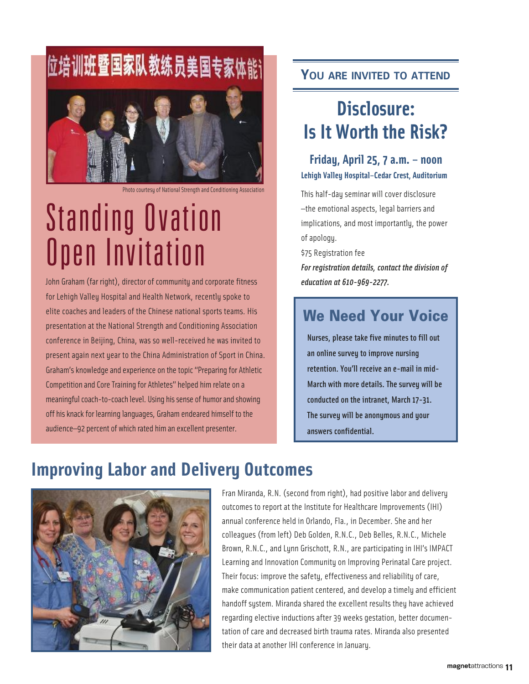# 位培训班暨国家队教练员美国专家体能

Photo courtesy of National Strength and Conditioning Association

### Standing Ovation Open Invitation

John Graham (far right), director of community and corporate fitness for Lehigh Valley Hospital and Health Network, recently spoke to elite coaches and leaders of the Chinese national sports teams. His presentation at the National Strength and Conditioning Association conference in Beijing, China, was so well-received he was invited to present again next year to the China Administration of Sport in China. Graham's knowledge and experience on the topic "Preparing for Athletic Competition and Core Training for Athletes" helped him relate on a meaningful coach-to-coach level. Using his sense of humor and showing off his knack for learning languages, Graham endeared himself to the audience—92 percent of which rated him an excellent presenter.

#### **YOU ARE INVITED TO ATTEND**

#### **Disclosure: Is It Worth the Risk?**

#### **Friday, April 25, 7 a.m. – noon Lehigh Valley Hospital–Cedar Crest, Auditorium**

This half-day seminar will cover disclosure —the emotional aspects, legal barriers and implications, and most importantly, the power of apology.

\$75 Registration fee

*For registration details, contact the division of education at 610-969-2277.* 

#### **We Need Your Voice**

Nurses, please take five minutes to fill out an online survey to improve nursing retention. You'll receive an e-mail in mid-March with more details. The survey will be conducted on the intranet, March 17-31. The survey will be anonymous and your answers confidential.

#### **Improving Labor and Delivery Outcomes**



Fran Miranda, R.N. (second from right), had positive labor and delivery outcomes to report at the Institute for Healthcare Improvements (IHI) annual conference held in Orlando, Fla., in December. She and her colleagues (from left) Deb Golden, R.N.C., Deb Belles, R.N.C., Michele Brown, R.N.C., and Lynn Grischott, R.N., are participating in IHI's IMPACT Learning and Innovation Community on Improving Perinatal Care project. Their focus: improve the safety, effectiveness and reliability of care, make communication patient centered, and develop a timely and efficient handoff system. Miranda shared the excellent results they have achieved regarding elective inductions after 39 weeks gestation, better documentation of care and decreased birth trauma rates. Miranda also presented their data at another IHI conference in January.